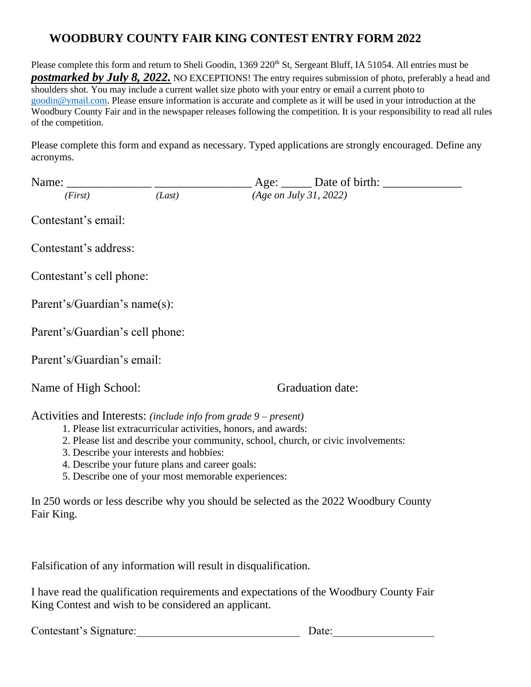## **WOODBURY COUNTY FAIR KING CONTEST ENTRY FORM 2022**

Please complete this form and return to Sheli Goodin, 1369 220<sup>th</sup> St, Sergeant Bluff, IA 51054. All entries must be **postmarked by July 8, 2022.** NO EXCEPTIONS! The entry requires submission of photo, preferably a head and shoulders shot. You may include a current wallet size photo with your entry or email a current photo to [goodin@ymail.com.](mailto:goodin@ymail.com) Please ensure information is accurate and complete as it will be used in your introduction at the Woodbury County Fair and in the newspaper releases following the competition. It is your responsibility to read all rules of the competition.

Please complete this form and expand as necessary. Typed applications are strongly encouraged. Define any acronyms.

| Name: Name and the same of the same state of the same state of the same state of the same state of the same state of the same state of the same state of the same state of the same state of the same state of the same state                                                                                         |        |                        |                         |
|-----------------------------------------------------------------------------------------------------------------------------------------------------------------------------------------------------------------------------------------------------------------------------------------------------------------------|--------|------------------------|-------------------------|
| (First)                                                                                                                                                                                                                                                                                                               | (Last) | (Age on July 31, 2022) |                         |
| Contestant's email:                                                                                                                                                                                                                                                                                                   |        |                        |                         |
| Contestant's address:                                                                                                                                                                                                                                                                                                 |        |                        |                         |
| Contestant's cell phone:                                                                                                                                                                                                                                                                                              |        |                        |                         |
| Parent's/Guardian's name(s):                                                                                                                                                                                                                                                                                          |        |                        |                         |
| Parent's/Guardian's cell phone:                                                                                                                                                                                                                                                                                       |        |                        |                         |
| Parent's/Guardian's email:                                                                                                                                                                                                                                                                                            |        |                        |                         |
| Name of High School:                                                                                                                                                                                                                                                                                                  |        |                        | <b>Graduation date:</b> |
| Activities and Interests: (include info from grade 9 – present)<br>1. Please list extracurricular activities, honors, and awards:<br>2. Please list and describe your community, school, church, or civic involvements:<br>3. Describe your interests and hobbies:<br>1. Dosoribo your future plans and career gools: |        |                        |                         |

4. Describe your future plans and career goals: 5. Describe one of your most memorable experiences:

In 250 words or less describe why you should be selected as the 2022 Woodbury County Fair King.

Falsification of any information will result in disqualification.

I have read the qualification requirements and expectations of the Woodbury County Fair King Contest and wish to be considered an applicant.

 $Date:$